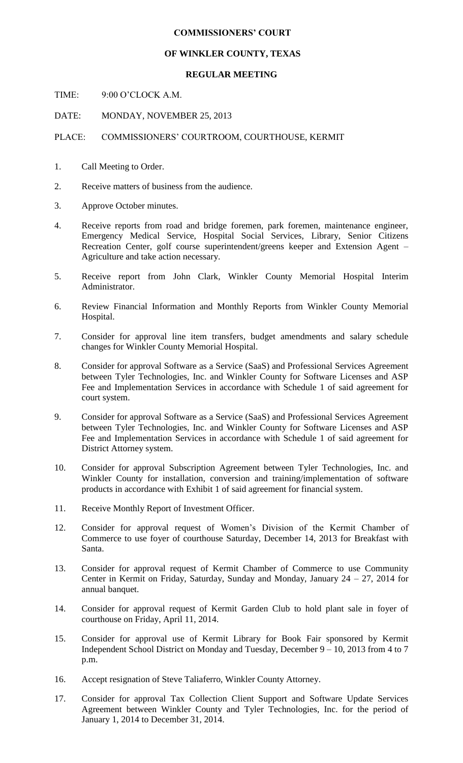## **COMMISSIONERS' COURT**

## **OF WINKLER COUNTY, TEXAS**

## **REGULAR MEETING**

TIME: 9:00 O'CLOCK A.M.

DATE: MONDAY, NOVEMBER 25, 2013

PLACE: COMMISSIONERS' COURTROOM, COURTHOUSE, KERMIT

- 1. Call Meeting to Order.
- 2. Receive matters of business from the audience.
- 3. Approve October minutes.
- 4. Receive reports from road and bridge foremen, park foremen, maintenance engineer, Emergency Medical Service, Hospital Social Services, Library, Senior Citizens Recreation Center, golf course superintendent/greens keeper and Extension Agent – Agriculture and take action necessary.
- 5. Receive report from John Clark, Winkler County Memorial Hospital Interim Administrator.
- 6. Review Financial Information and Monthly Reports from Winkler County Memorial Hospital.
- 7. Consider for approval line item transfers, budget amendments and salary schedule changes for Winkler County Memorial Hospital.
- 8. Consider for approval Software as a Service (SaaS) and Professional Services Agreement between Tyler Technologies, Inc. and Winkler County for Software Licenses and ASP Fee and Implementation Services in accordance with Schedule 1 of said agreement for court system.
- 9. Consider for approval Software as a Service (SaaS) and Professional Services Agreement between Tyler Technologies, Inc. and Winkler County for Software Licenses and ASP Fee and Implementation Services in accordance with Schedule 1 of said agreement for District Attorney system.
- 10. Consider for approval Subscription Agreement between Tyler Technologies, Inc. and Winkler County for installation, conversion and training/implementation of software products in accordance with Exhibit 1 of said agreement for financial system.
- 11. Receive Monthly Report of Investment Officer.
- 12. Consider for approval request of Women's Division of the Kermit Chamber of Commerce to use foyer of courthouse Saturday, December 14, 2013 for Breakfast with Santa.
- 13. Consider for approval request of Kermit Chamber of Commerce to use Community Center in Kermit on Friday, Saturday, Sunday and Monday, January 24 – 27, 2014 for annual banquet.
- 14. Consider for approval request of Kermit Garden Club to hold plant sale in foyer of courthouse on Friday, April 11, 2014.
- 15. Consider for approval use of Kermit Library for Book Fair sponsored by Kermit Independent School District on Monday and Tuesday, December 9 – 10, 2013 from 4 to 7 p.m.
- 16. Accept resignation of Steve Taliaferro, Winkler County Attorney.
- 17. Consider for approval Tax Collection Client Support and Software Update Services Agreement between Winkler County and Tyler Technologies, Inc. for the period of January 1, 2014 to December 31, 2014.